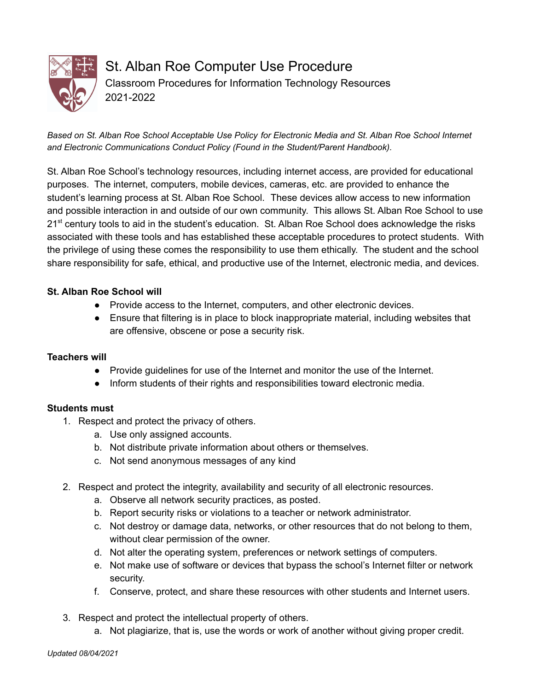

St. Alban Roe Computer Use Procedure Classroom Procedures for Information Technology Resources 2021-2022

Based on St. Alban Roe School Acceptable Use Policy for Electronic Media and St. Alban Roe School Internet *and Electronic Communications Conduct Policy (Found in the Student/Parent Handbook).*

St. Alban Roe School's technology resources, including internet access, are provided for educational purposes. The internet, computers, mobile devices, cameras, etc. are provided to enhance the student's learning process at St. Alban Roe School. These devices allow access to new information and possible interaction in and outside of our own community. This allows St. Alban Roe School to use 21<sup>st</sup> century tools to aid in the student's education. St. Alban Roe School does acknowledge the risks associated with these tools and has established these acceptable procedures to protect students. With the privilege of using these comes the responsibility to use them ethically. The student and the school share responsibility for safe, ethical, and productive use of the Internet, electronic media, and devices.

## **St. Alban Roe School will**

- Provide access to the Internet, computers, and other electronic devices.
- Ensure that filtering is in place to block inappropriate material, including websites that are offensive, obscene or pose a security risk.

# **Teachers will**

- Provide guidelines for use of the Internet and monitor the use of the Internet.
- Inform students of their rights and responsibilities toward electronic media.

## **Students must**

- 1. Respect and protect the privacy of others.
	- a. Use only assigned accounts.
	- b. Not distribute private information about others or themselves.
	- c. Not send anonymous messages of any kind
- 2. Respect and protect the integrity, availability and security of all electronic resources.
	- a. Observe all network security practices, as posted.
	- b. Report security risks or violations to a teacher or network administrator.
	- c. Not destroy or damage data, networks, or other resources that do not belong to them, without clear permission of the owner.
	- d. Not alter the operating system, preferences or network settings of computers.
	- e. Not make use of software or devices that bypass the school's Internet filter or network security.
	- f. Conserve, protect, and share these resources with other students and Internet users.
- 3. Respect and protect the intellectual property of others.
	- a. Not plagiarize, that is, use the words or work of another without giving proper credit.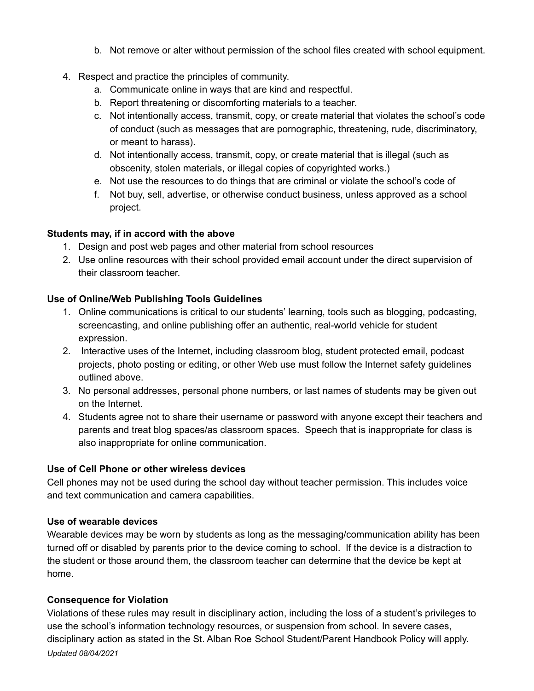- b. Not remove or alter without permission of the school files created with school equipment.
- 4. Respect and practice the principles of community.
	- a. Communicate online in ways that are kind and respectful.
	- b. Report threatening or discomforting materials to a teacher.
	- c. Not intentionally access, transmit, copy, or create material that violates the school's code of conduct (such as messages that are pornographic, threatening, rude, discriminatory, or meant to harass).
	- d. Not intentionally access, transmit, copy, or create material that is illegal (such as obscenity, stolen materials, or illegal copies of copyrighted works.)
	- e. Not use the resources to do things that are criminal or violate the school's code of
	- f. Not buy, sell, advertise, or otherwise conduct business, unless approved as a school project.

## **Students may, if in accord with the above**

- 1. Design and post web pages and other material from school resources
- 2. Use online resources with their school provided email account under the direct supervision of their classroom teacher.

## **Use of Online/Web Publishing Tools Guidelines**

- 1. Online communications is critical to our students' learning, tools such as blogging, podcasting, screencasting, and online publishing offer an authentic, real-world vehicle for student expression.
- 2. Interactive uses of the Internet, including classroom blog, student protected email, podcast projects, photo posting or editing, or other Web use must follow the Internet safety guidelines outlined above.
- 3. No personal addresses, personal phone numbers, or last names of students may be given out on the Internet.
- 4. Students agree not to share their username or password with anyone except their teachers and parents and treat blog spaces/as classroom spaces. Speech that is inappropriate for class is also inappropriate for online communication.

## **Use of Cell Phone or other wireless devices**

Cell phones may not be used during the school day without teacher permission. This includes voice and text communication and camera capabilities.

## **Use of wearable devices**

Wearable devices may be worn by students as long as the messaging/communication ability has been turned off or disabled by parents prior to the device coming to school. If the device is a distraction to the student or those around them, the classroom teacher can determine that the device be kept at home.

## **Consequence for Violation**

Violations of these rules may result in disciplinary action, including the loss of a student's privileges to use the school's information technology resources, or suspension from school. In severe cases, disciplinary action as stated in the St. Alban Roe School Student/Parent Handbook Policy will apply. *Updated 08/04/2021*